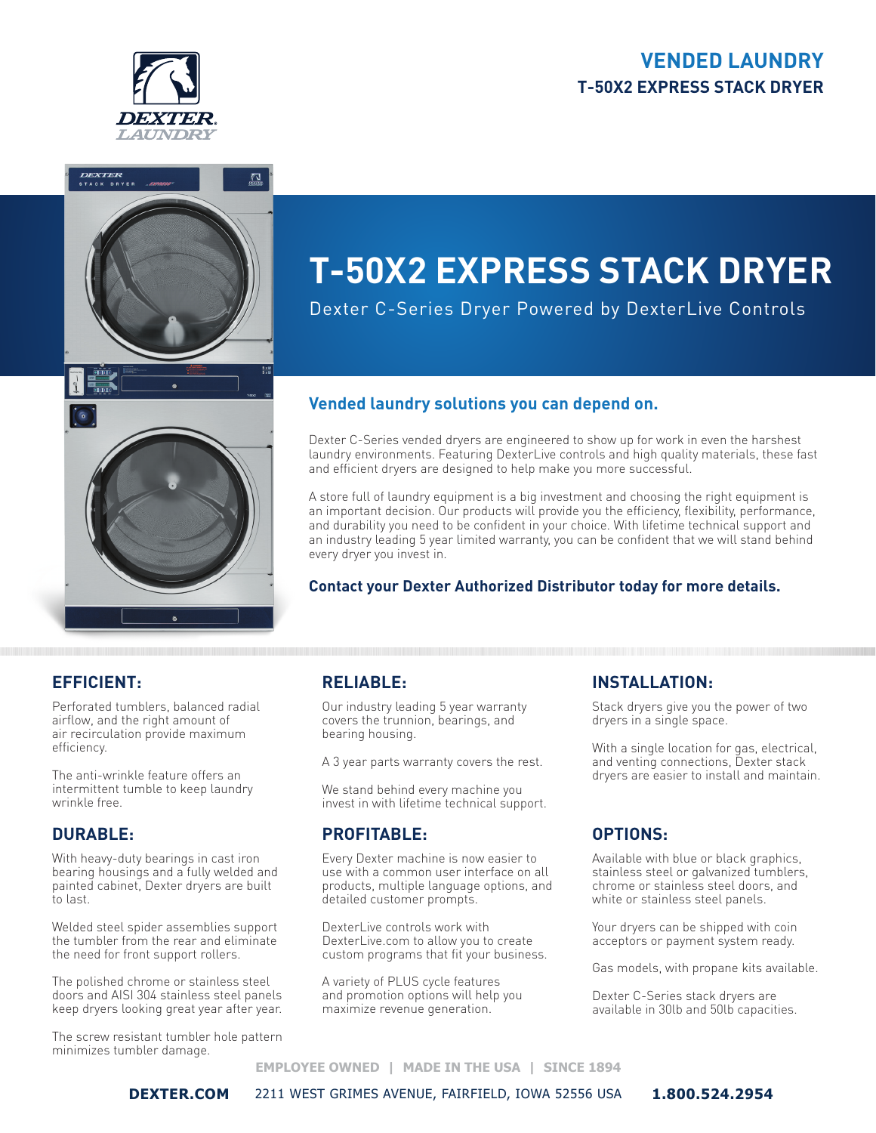### **VENDED LAUNDRY T-50X2 EXPRESS STACK DRYER**





# **T-50X2 EXPRESS STACK DRYER**

Dexter C-Series Dryer Powered by DexterLive Controls

#### **Vended laundry solutions you can depend on.**

Dexter C-Series vended dryers are engineered to show up for work in even the harshest laundry environments. Featuring DexterLive controls and high quality materials, these fast and efficient dryers are designed to help make you more successful.

A store full of laundry equipment is a big investment and choosing the right equipment is an important decision. Our products will provide you the efficiency, flexibility, performance, and durability you need to be confident in your choice. With lifetime technical support and an industry leading 5 year limited warranty, you can be confident that we will stand behind every dryer you invest in.

#### **Contact your Dexter Authorized Distributor today for more details.**

### **EFFICIENT:**

Perforated tumblers, balanced radial airflow, and the right amount of air recirculation provide maximum efficiency.

The anti-wrinkle feature offers an intermittent tumble to keep laundry wrinkle free.

#### **DURABLE:**

With heavy-duty bearings in cast iron bearing housings and a fully welded and painted cabinet, Dexter dryers are built to last.

Welded steel spider assemblies support the tumbler from the rear and eliminate the need for front support rollers.

The polished chrome or stainless steel doors and AISI 304 stainless steel panels keep dryers looking great year after year.

The screw resistant tumbler hole pattern minimizes tumbler damage.

### **RELIABLE:**

Our industry leading 5 year warranty covers the trunnion, bearings, and bearing housing.

A 3 year parts warranty covers the rest.

We stand behind every machine you invest in with lifetime technical support.

#### **PROFITABLE:**

Every Dexter machine is now easier to use with a common user interface on all products, multiple language options, and detailed customer prompts.

DexterLive controls work with DexterLive.com to allow you to create custom programs that fit your business.

A variety of PLUS cycle features and promotion options will help you maximize revenue generation.

#### **INSTALLATION:**

Stack dryers give you the power of two dryers in a single space.

With a single location for gas, electrical, and venting connections, Dexter stack dryers are easier to install and maintain.

### **OPTIONS:**

Available with blue or black graphics, stainless steel or galvanized tumblers, chrome or stainless steel doors, and white or stainless steel panels.

Your dryers can be shipped with coin acceptors or payment system ready.

Gas models, with propane kits available.

Dexter C-Series stack dryers are available in 30lb and 50lb capacities.

#### **EMPLOYEE OWNED | MADE IN THE USA | SINCE 1894**

**DEXTER.COM** 2211 WEST GRIMES AVENUE, FAIRFIELD, IOWA 52556 USA **1.800.524.2954**